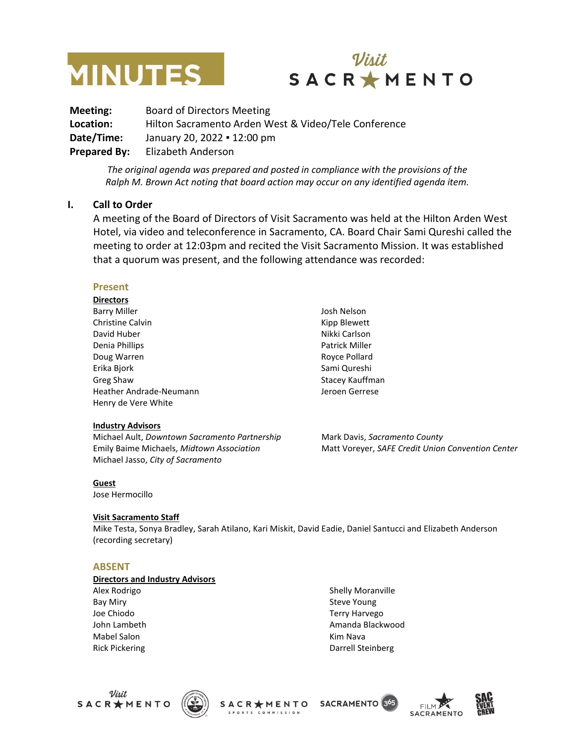



**Meeting:** Board of Directors Meeting **Location:** Hilton Sacramento Arden West & Video/Tele Conference **Date/Time:** January 20, 2022 ▪ 12:00 pm **Prepared By:** Elizabeth Anderson

> *The original agenda was prepared and posted in compliance with the provisions of the Ralph M. Brown Act noting that board action may occur on any identified agenda item.*

#### **I. Call to Order**

A meeting of the Board of Directors of Visit Sacramento was held at the Hilton Arden West Hotel, via video and teleconference in Sacramento, CA. Board Chair Sami Qureshi called the meeting to order at 12:03pm and recited the Visit Sacramento Mission. It was established that a quorum was present, and the following attendance was recorded:

#### **Present**

**Directors** Barry Miller Christine Calvin David Huber Denia Phillips Doug Warren Erika Bjork Greg Shaw Heather Andrade-Neumann Henry de Vere White

#### **Industry Advisors**

Michael Ault, *Downtown Sacramento Partnership* Emily Baime Michaels, *Midtown Association* Michael Jasso, *City of Sacramento*

Josh Nelson Kipp Blewett Nikki Carlson Patrick Miller Royce Pollard Sami Qureshi Stacey Kauffman Jeroen Gerrese

Mark Davis, *Sacramento County*  Matt Voreyer, *SAFE Credit Union Convention Center*

#### **Guest**

Jose Hermocillo

#### **Visit Sacramento Staff**

Mike Testa, Sonya Bradley, Sarah Atilano, Kari Miskit, David Eadie, Daniel Santucci and Elizabeth Anderson (recording secretary)

#### **ABSENT**

#### **Directors and Industry Advisors**

Alex Rodrigo Bay Miry Joe Chiodo John Lambeth Mabel Salon Rick Pickering

Shelly Moranville Steve Young Terry Harvego Amanda Blackwood Kim Nava Darrell Steinberg





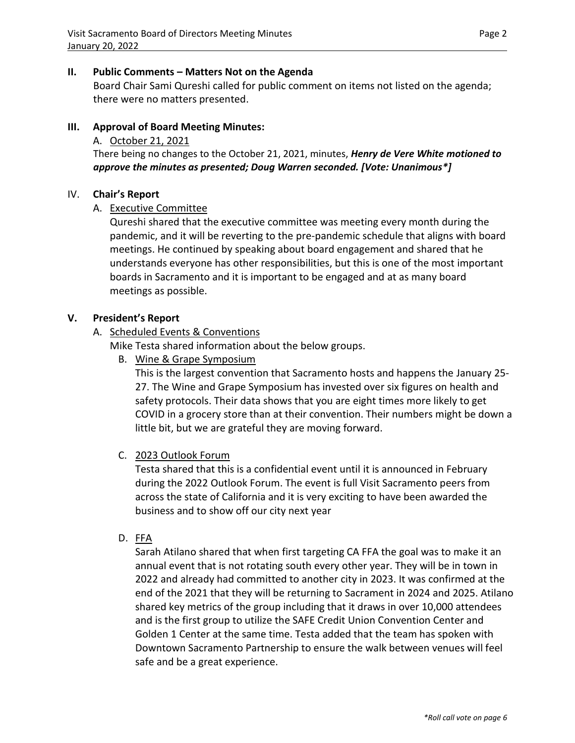## **II. Public Comments – Matters Not on the Agenda**

Board Chair Sami Qureshi called for public comment on items not listed on the agenda; there were no matters presented.

## **III. Approval of Board Meeting Minutes:**

### A. October 21, 2021

There being no changes to the October 21, 2021, minutes, *Henry de Vere White motioned to approve the minutes as presented; Doug Warren seconded. [Vote: Unanimous\*]*

### IV. **Chair's Report**

### A. Executive Committee

Qureshi shared that the executive committee was meeting every month during the pandemic, and it will be reverting to the pre-pandemic schedule that aligns with board meetings. He continued by speaking about board engagement and shared that he understands everyone has other responsibilities, but this is one of the most important boards in Sacramento and it is important to be engaged and at as many board meetings as possible.

### **V. President's Report**

### A. Scheduled Events & Conventions

Mike Testa shared information about the below groups.

B. Wine & Grape Symposium

This is the largest convention that Sacramento hosts and happens the January 25- 27. The Wine and Grape Symposium has invested over six figures on health and safety protocols. Their data shows that you are eight times more likely to get COVID in a grocery store than at their convention. Their numbers might be down a little bit, but we are grateful they are moving forward.

### C. 2023 Outlook Forum

Testa shared that this is a confidential event until it is announced in February during the 2022 Outlook Forum. The event is full Visit Sacramento peers from across the state of California and it is very exciting to have been awarded the business and to show off our city next year

D. FFA

Sarah Atilano shared that when first targeting CA FFA the goal was to make it an annual event that is not rotating south every other year. They will be in town in 2022 and already had committed to another city in 2023. It was confirmed at the end of the 2021 that they will be returning to Sacrament in 2024 and 2025. Atilano shared key metrics of the group including that it draws in over 10,000 attendees and is the first group to utilize the SAFE Credit Union Convention Center and Golden 1 Center at the same time. Testa added that the team has spoken with Downtown Sacramento Partnership to ensure the walk between venues will feel safe and be a great experience.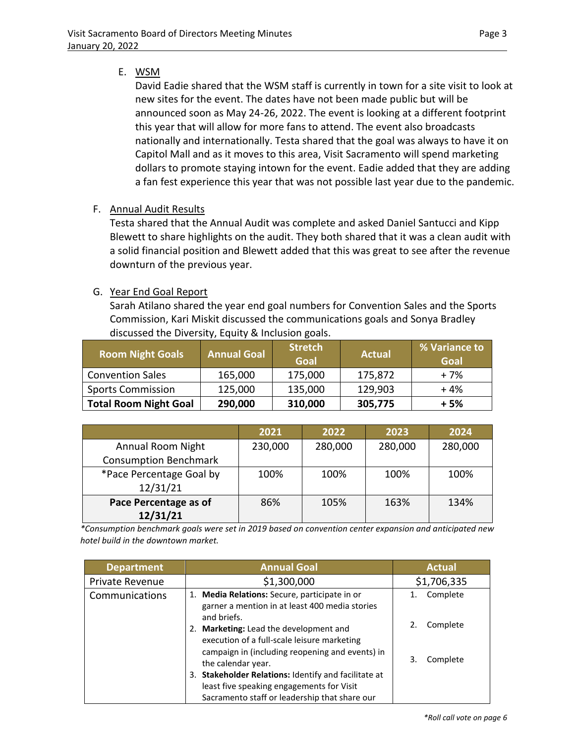# E. WSM

David Eadie shared that the WSM staff is currently in town for a site visit to look at new sites for the event. The dates have not been made public but will be announced soon as May 24-26, 2022. The event is looking at a different footprint this year that will allow for more fans to attend. The event also broadcasts nationally and internationally. Testa shared that the goal was always to have it on Capitol Mall and as it moves to this area, Visit Sacramento will spend marketing dollars to promote staying intown for the event. Eadie added that they are adding a fan fest experience this year that was not possible last year due to the pandemic.

# F. Annual Audit Results

Testa shared that the Annual Audit was complete and asked Daniel Santucci and Kipp Blewett to share highlights on the audit. They both shared that it was a clean audit with a solid financial position and Blewett added that this was great to see after the revenue downturn of the previous year.

# G. Year End Goal Report

Sarah Atilano shared the year end goal numbers for Convention Sales and the Sports Commission, Kari Miskit discussed the communications goals and Sonya Bradley discussed the Diversity, Equity & Inclusion goals.

| <b>Room Night Goals</b>      | <b>Annual Goal</b> | <b>Stretch</b><br><b>Goal</b> | <b>Actual</b> | % Variance to<br>Goal |
|------------------------------|--------------------|-------------------------------|---------------|-----------------------|
| <b>Convention Sales</b>      | 165,000            | 175,000                       | 175,872       | + 7%                  |
| <b>Sports Commission</b>     | 125,000            | 135,000                       | 129,903       | $+4%$                 |
| <b>Total Room Night Goal</b> | 290,000            | 310,000                       | 305,775       | $+5%$                 |

|                              | 2021    | 2022    | 2023    | 2024    |
|------------------------------|---------|---------|---------|---------|
| Annual Room Night            | 230,000 | 280,000 | 280,000 | 280,000 |
| <b>Consumption Benchmark</b> |         |         |         |         |
| *Pace Percentage Goal by     | 100%    | 100%    | 100%    | 100%    |
| 12/31/21                     |         |         |         |         |
| Pace Percentage as of        | 86%     | 105%    | 163%    | 134%    |
| 12/31/21                     |         |         |         |         |

*\*Consumption benchmark goals were set in 2019 based on convention center expansion and anticipated new hotel build in the downtown market.*

| <b>Department</b> | <b>Annual Goal</b>                                                                                                                                                                 | <b>Actual</b>        |
|-------------------|------------------------------------------------------------------------------------------------------------------------------------------------------------------------------------|----------------------|
| Private Revenue   | \$1,300,000                                                                                                                                                                        | \$1,706,335          |
| Communications    | 1. Media Relations: Secure, participate in or<br>garner a mention in at least 400 media stories<br>and briefs.                                                                     | Complete             |
|                   | <b>Marketing:</b> Lead the development and<br>2.<br>execution of a full-scale leisure marketing<br>campaign in (including reopening and events) in                                 | Complete<br>Complete |
|                   | the calendar year.<br><b>Stakeholder Relations: Identify and facilitate at</b><br>3.<br>least five speaking engagements for Visit<br>Sacramento staff or leadership that share our |                      |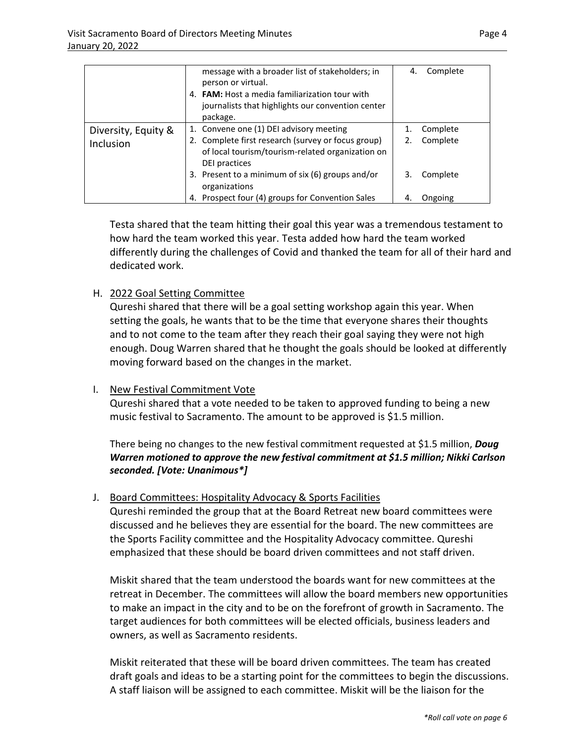|                                  | message with a broader list of stakeholders; in<br>person or virtual.<br>4. <b>FAM:</b> Host a media familiarization tour with<br>journalists that highlights our convention center<br>package.                                         | 4. | Complete                         |
|----------------------------------|-----------------------------------------------------------------------------------------------------------------------------------------------------------------------------------------------------------------------------------------|----|----------------------------------|
| Diversity, Equity &<br>Inclusion | 1. Convene one (1) DEI advisory meeting<br>2. Complete first research (survey or focus group)<br>of local tourism/tourism-related organization on<br>DEI practices<br>3. Present to a minimum of six (6) groups and/or<br>organizations | 3. | Complete<br>Complete<br>Complete |
|                                  | 4. Prospect four (4) groups for Convention Sales                                                                                                                                                                                        |    | Ongoing                          |

Testa shared that the team hitting their goal this year was a tremendous testament to how hard the team worked this year. Testa added how hard the team worked differently during the challenges of Covid and thanked the team for all of their hard and dedicated work.

### H. 2022 Goal Setting Committee

Qureshi shared that there will be a goal setting workshop again this year. When setting the goals, he wants that to be the time that everyone shares their thoughts and to not come to the team after they reach their goal saying they were not high enough. Doug Warren shared that he thought the goals should be looked at differently moving forward based on the changes in the market.

### I. New Festival Commitment Vote

Qureshi shared that a vote needed to be taken to approved funding to being a new music festival to Sacramento. The amount to be approved is \$1.5 million.

There being no changes to the new festival commitment requested at \$1.5 million, *Doug Warren motioned to approve the new festival commitment at \$1.5 million; Nikki Carlson seconded. [Vote: Unanimous\*]*

### J. Board Committees: Hospitality Advocacy & Sports Facilities

Qureshi reminded the group that at the Board Retreat new board committees were discussed and he believes they are essential for the board. The new committees are the Sports Facility committee and the Hospitality Advocacy committee. Qureshi emphasized that these should be board driven committees and not staff driven.

Miskit shared that the team understood the boards want for new committees at the retreat in December. The committees will allow the board members new opportunities to make an impact in the city and to be on the forefront of growth in Sacramento. The target audiences for both committees will be elected officials, business leaders and owners, as well as Sacramento residents.

Miskit reiterated that these will be board driven committees. The team has created draft goals and ideas to be a starting point for the committees to begin the discussions. A staff liaison will be assigned to each committee. Miskit will be the liaison for the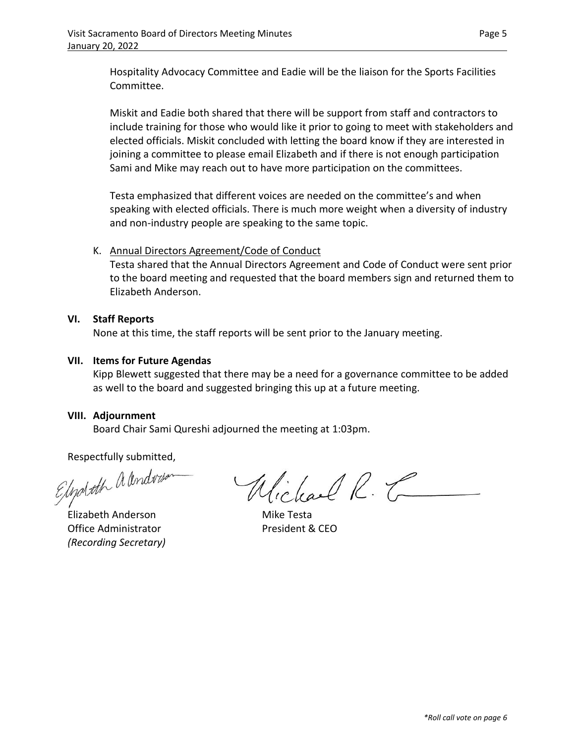Hospitality Advocacy Committee and Eadie will be the liaison for the Sports Facilities Committee.

Miskit and Eadie both shared that there will be support from staff and contractors to include training for those who would like it prior to going to meet with stakeholders and elected officials. Miskit concluded with letting the board know if they are interested in joining a committee to please email Elizabeth and if there is not enough participation Sami and Mike may reach out to have more participation on the committees.

Testa emphasized that different voices are needed on the committee's and when speaking with elected officials. There is much more weight when a diversity of industry and non-industry people are speaking to the same topic.

## K. Annual Directors Agreement/Code of Conduct

Testa shared that the Annual Directors Agreement and Code of Conduct were sent prior to the board meeting and requested that the board members sign and returned them to Elizabeth Anderson.

### **VI. Staff Reports**

None at this time, the staff reports will be sent prior to the January meeting.

## **VII. Items for Future Agendas**

Kipp Blewett suggested that there may be a need for a governance committee to be added as well to the board and suggested bringing this up at a future meeting.

### **VIII. Adjournment**

Board Chair Sami Qureshi adjourned the meeting at 1:03pm.

Respectfully submitted,<br>Elippboth a lendwise

Elizabeth Anderson **Mike Testa** Office Administrator **President & CEO** *(Recording Secretary)*

Wichael R. C